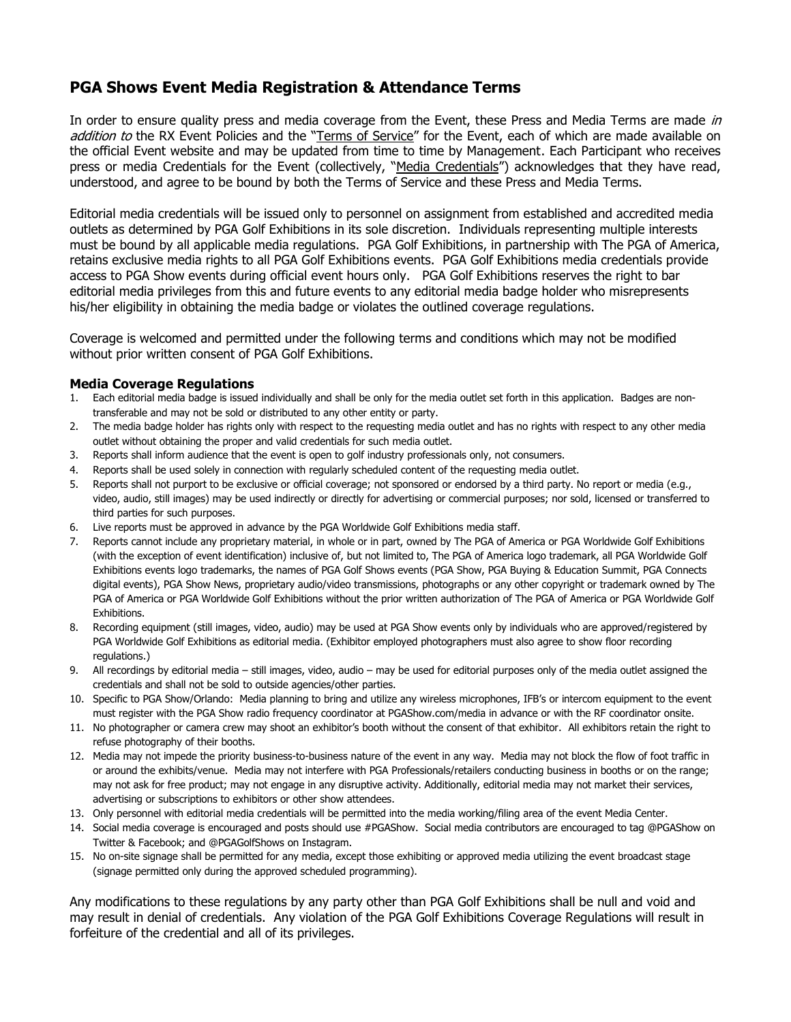## **PGA Shows Event Media Registration & Attendance Terms**

In order to ensure quality press and media coverage from the Event, these Press and Media Terms are made in addition to the RX Event Policies and the "Terms of Service" for the Event, each of which are made available on the official Event website and may be updated from time to time by Management. Each Participant who receives press or media Credentials for the Event (collectively, "Media Credentials") acknowledges that they have read, understood, and agree to be bound by both the Terms of Service and these Press and Media Terms.

Editorial media credentials will be issued only to personnel on assignment from established and accredited media outlets as determined by PGA Golf Exhibitions in its sole discretion. Individuals representing multiple interests must be bound by all applicable media regulations. PGA Golf Exhibitions, in partnership with The PGA of America, retains exclusive media rights to all PGA Golf Exhibitions events. PGA Golf Exhibitions media credentials provide access to PGA Show events during official event hours only. PGA Golf Exhibitions reserves the right to bar editorial media privileges from this and future events to any editorial media badge holder who misrepresents his/her eligibility in obtaining the media badge or violates the outlined coverage regulations.

Coverage is welcomed and permitted under the following terms and conditions which may not be modified without prior written consent of PGA Golf Exhibitions.

## **Media Coverage Regulations**

- 1. Each editorial media badge is issued individually and shall be only for the media outlet set forth in this application. Badges are nontransferable and may not be sold or distributed to any other entity or party.
- 2. The media badge holder has rights only with respect to the requesting media outlet and has no rights with respect to any other media outlet without obtaining the proper and valid credentials for such media outlet.
- 3. Reports shall inform audience that the event is open to golf industry professionals only, not consumers.
- 4. Reports shall be used solely in connection with regularly scheduled content of the requesting media outlet.
- 5. Reports shall not purport to be exclusive or official coverage; not sponsored or endorsed by a third party. No report or media (e.g., video, audio, still images) may be used indirectly or directly for advertising or commercial purposes; nor sold, licensed or transferred to third parties for such purposes.
- 6. Live reports must be approved in advance by the PGA Worldwide Golf Exhibitions media staff.
- 7. Reports cannot include any proprietary material, in whole or in part, owned by The PGA of America or PGA Worldwide Golf Exhibitions (with the exception of event identification) inclusive of, but not limited to, The PGA of America logo trademark, all PGA Worldwide Golf Exhibitions events logo trademarks, the names of PGA Golf Shows events (PGA Show, PGA Buying & Education Summit, PGA Connects digital events), PGA Show News, proprietary audio/video transmissions, photographs or any other copyright or trademark owned by The PGA of America or PGA Worldwide Golf Exhibitions without the prior written authorization of The PGA of America or PGA Worldwide Golf Exhibitions.
- 8. Recording equipment (still images, video, audio) may be used at PGA Show events only by individuals who are approved/registered by PGA Worldwide Golf Exhibitions as editorial media. (Exhibitor employed photographers must also agree to show floor recording regulations.)
- 9. All recordings by editorial media still images, video, audio may be used for editorial purposes only of the media outlet assigned the credentials and shall not be sold to outside agencies/other parties.
- 10. Specific to PGA Show/Orlando: Media planning to bring and utilize any wireless microphones, IFB's or intercom equipment to the event must register with the PGA Show radio frequency coordinator at PGAShow.com/media in advance or with the RF coordinator onsite.
- 11. No photographer or camera crew may shoot an exhibitor's booth without the consent of that exhibitor. All exhibitors retain the right to refuse photography of their booths.
- 12. Media may not impede the priority business-to-business nature of the event in any way. Media may not block the flow of foot traffic in or around the exhibits/venue. Media may not interfere with PGA Professionals/retailers conducting business in booths or on the range; may not ask for free product; may not engage in any disruptive activity. Additionally, editorial media may not market their services, advertising or subscriptions to exhibitors or other show attendees.
- 13. Only personnel with editorial media credentials will be permitted into the media working/filing area of the event Media Center.
- 14. Social media coverage is encouraged and posts should use #PGAShow. Social media contributors are encouraged to tag @PGAShow on Twitter & Facebook; and @PGAGolfShows on Instagram.
- 15. No on-site signage shall be permitted for any media, except those exhibiting or approved media utilizing the event broadcast stage (signage permitted only during the approved scheduled programming).

Any modifications to these regulations by any party other than PGA Golf Exhibitions shall be null and void and may result in denial of credentials. Any violation of the PGA Golf Exhibitions Coverage Regulations will result in forfeiture of the credential and all of its privileges.